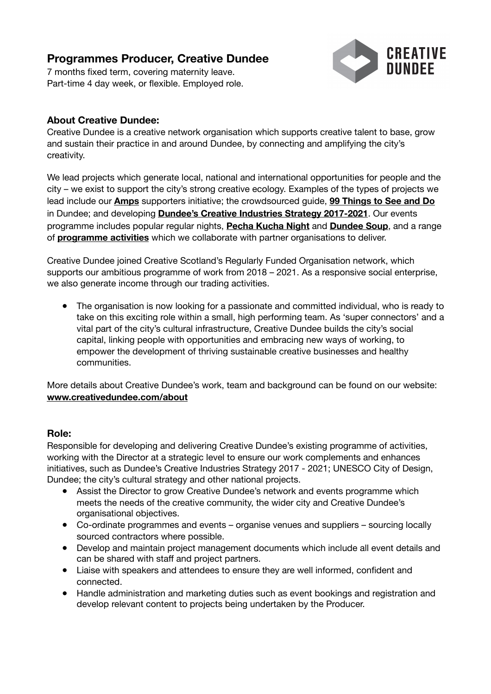# **Programmes Producer, Creative Dundee**

7 months fixed term, covering maternity leave. Part-time 4 day week, or flexible. Employed role.



# **About Creative Dundee:**

Creative Dundee is a creative network organisation which supports creative talent to base, grow and sustain their practice in and around Dundee, by connecting and amplifying the city's creativity.

We lead projects which generate local, national and international opportunities for people and the city – we exist to support the city's strong creative ecology. Examples of the types of projects we lead include ou[r](https://creativedundee.com/amps/) **[Amps](https://creativedundee.com/amps/)** supporters initiative; the crowdsourced guide[,](https://creativedundee.com/2018/05/99-things-dundee-2018/) **[99 Things to See and Do](https://creativedundee.com/2018/05/99-things-dundee-2018/)** in Dundee; and developin[g](https://creativedundee.com/2017/10/creative-industries-strategy-launch/) **[Dundee's Creative Industries Strategy 2017-2021](https://creativedundee.com/2017/10/creative-industries-strategy-launch/)**. Our events programme includes popular regular nights[,](https://creativedundee.com/pecha-kucha-night-dundee/) **[Pecha Kucha Night](https://creativedundee.com/pecha-kucha-night-dundee/)** an[d](https://creativedundee.com/dundee-soup/) **[Dundee Soup](https://creativedundee.com/dundee-soup/)**, and a range o[f](https://creativedundee.com/work_with_us/) **[programme activities](https://creativedundee.com/work_with_us/)** which we collaborate with partner organisations to deliver.

Creative Dundee joined Creative Scotland's Regularly Funded Organisation network, which supports our ambitious programme of work from 2018 – 2021. As a responsive social enterprise, we also generate income through our trading activities.

● The organisation is now looking for a passionate and committed individual, who is ready to take on this exciting role within a small, high performing team. As 'super connectors' and a vital part of the city's cultural infrastructure, Creative Dundee builds the city's social capital, linking people with opportunities and embracing new ways of working, to empower the development of thriving sustainable creative businesses and healthy communities.

More details about Creative Dundee's work, team and background can be found on our website: **[www.creativedundee.com/about](http://www.creativedundee.com/about)** 

## **Role:**

Responsible for developing and delivering Creative Dundee's existing programme of activities, working with the Director at a strategic level to ensure our work complements and enhances initiatives, such as Dundee's Creative Industries Strategy 2017 - 2021; UNESCO City of Design, Dundee; the city's cultural strategy and other national projects.

- Assist the Director to grow Creative Dundee's network and events programme which meets the needs of the creative community, the wider city and Creative Dundee's organisational objectives.
- Co-ordinate programmes and events organise venues and suppliers sourcing locally sourced contractors where possible.
- Develop and maintain project management documents which include all event details and can be shared with staff and project partners.
- Liaise with speakers and attendees to ensure they are well informed, confident and connected.
- Handle administration and marketing duties such as event bookings and registration and develop relevant content to projects being undertaken by the Producer.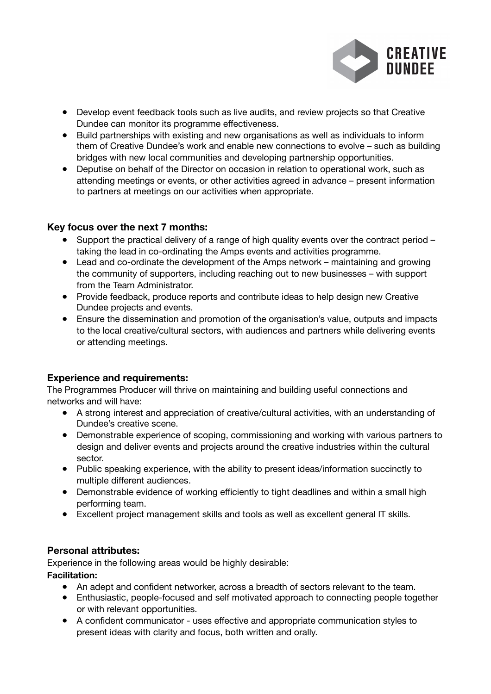

- Develop event feedback tools such as live audits, and review projects so that Creative Dundee can monitor its programme effectiveness.
- Build partnerships with existing and new organisations as well as individuals to inform them of Creative Dundee's work and enable new connections to evolve – such as building bridges with new local communities and developing partnership opportunities.
- Deputise on behalf of the Director on occasion in relation to operational work, such as attending meetings or events, or other activities agreed in advance – present information to partners at meetings on our activities when appropriate.

## **Key focus over the next 7 months:**

- Support the practical delivery of a range of high quality events over the contract period taking the lead in co-ordinating the Amps events and activities programme.
- Lead and co-ordinate the development of the Amps network maintaining and growing the community of supporters, including reaching out to new businesses – with support from the Team Administrator.
- Provide feedback, produce reports and contribute ideas to help design new Creative Dundee projects and events.
- Ensure the dissemination and promotion of the organisation's value, outputs and impacts to the local creative/cultural sectors, with audiences and partners while delivering events or attending meetings.

## **Experience and requirements:**

The Programmes Producer will thrive on maintaining and building useful connections and networks and will have:

- A strong interest and appreciation of creative/cultural activities, with an understanding of Dundee's creative scene.
- Demonstrable experience of scoping, commissioning and working with various partners to design and deliver events and projects around the creative industries within the cultural sector.
- Public speaking experience, with the ability to present ideas/information succinctly to multiple different audiences.
- Demonstrable evidence of working efficiently to tight deadlines and within a small high performing team.
- Excellent project management skills and tools as well as excellent general IT skills.

## **Personal attributes:**

Experience in the following areas would be highly desirable:

## **Facilitation:**

- An adept and confident networker, across a breadth of sectors relevant to the team.
- Enthusiastic, people-focused and self motivated approach to connecting people together or with relevant opportunities.
- A confident communicator uses effective and appropriate communication styles to present ideas with clarity and focus, both written and orally.